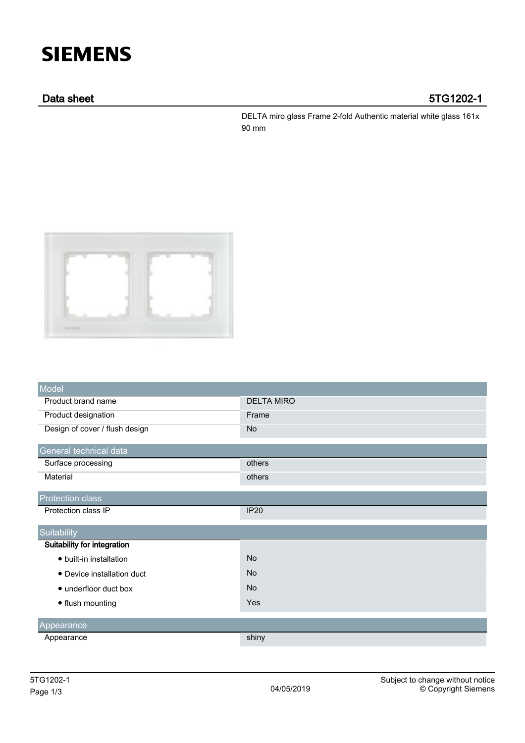# **SIEMENS**

## Data sheet 5TG1202-1

DELTA miro glass Frame 2-fold Authentic material white glass 161x 90 mm



| Model                          |                   |
|--------------------------------|-------------------|
| Product brand name             | <b>DELTA MIRO</b> |
| Product designation            | Frame             |
| Design of cover / flush design | <b>No</b>         |
| General technical data         |                   |
| Surface processing             | others            |
| Material                       | others            |
| <b>Protection class</b>        |                   |
| Protection class IP            | <b>IP20</b>       |
| Suitability                    |                   |
| Suitability for integration    |                   |
| • built-in installation        | <b>No</b>         |
| • Device installation duct     | <b>No</b>         |
| • underfloor duct box          | <b>No</b>         |
| • flush mounting               | Yes               |
| Appearance                     |                   |
| Appearance                     | shiny             |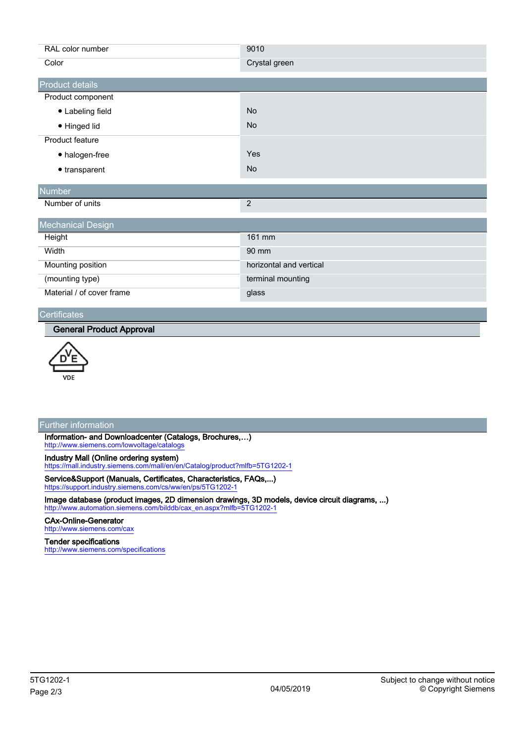| RAL color number          | 9010                    |  |
|---------------------------|-------------------------|--|
| Color                     | Crystal green           |  |
| Product details           |                         |  |
| Product component         |                         |  |
| • Labeling field          | <b>No</b>               |  |
| • Hinged lid              | <b>No</b>               |  |
| Product feature           |                         |  |
| • halogen-free            | Yes                     |  |
| $\bullet$ transparent     | <b>No</b>               |  |
| Number                    |                         |  |
| Number of units           | $\overline{c}$          |  |
| <b>Mechanical Design</b>  |                         |  |
| Height                    | 161 mm                  |  |
| Width                     | 90 mm                   |  |
| Mounting position         | horizontal and vertical |  |
| (mounting type)           | terminal mounting       |  |
| Material / of cover frame | glass                   |  |

#### **Certificates**

#### General Product Approval



### Further information

Information- and Downloadcenter (Catalogs, Brochures,…) <http://www.siemens.com/lowvoltage/catalogs>

Industry Mall (Online ordering system)

<https://mall.industry.siemens.com/mall/en/en/Catalog/product?mlfb=5TG1202-1>

Service&Support (Manuals, Certificates, Characteristics, FAQs,...) <https://support.industry.siemens.com/cs/ww/en/ps/5TG1202-1>

Image database (product images, 2D dimension drawings, 3D models, device circuit diagrams, ...) [http://www.automation.siemens.com/bilddb/cax\\_en.aspx?mlfb=5TG1202-1](http://www.automation.siemens.com/bilddb/cax_en.aspx?mlfb=5TG1202-1)

#### CAx-Online-Generator

<http://www.siemens.com/cax>

#### Tender specifications

<http://www.siemens.com/specifications>